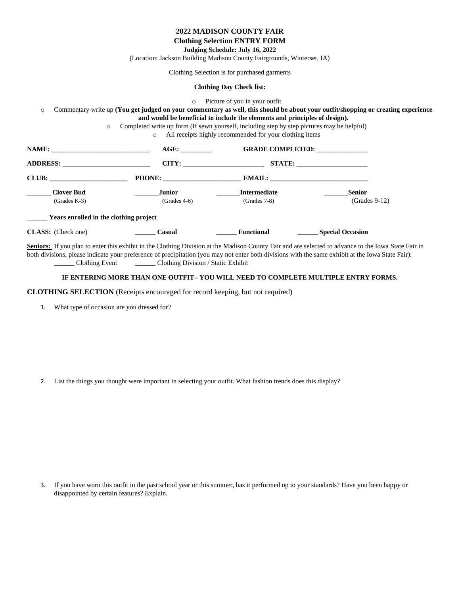|                                        |                                                                                                                  | <b>2022 MADISON COUNTY FAIR</b>                                                                                                                                        |                                                                                                                                                                                                                                                                                                           |
|----------------------------------------|------------------------------------------------------------------------------------------------------------------|------------------------------------------------------------------------------------------------------------------------------------------------------------------------|-----------------------------------------------------------------------------------------------------------------------------------------------------------------------------------------------------------------------------------------------------------------------------------------------------------|
|                                        |                                                                                                                  | <b>Clothing Selection ENTRY FORM</b>                                                                                                                                   |                                                                                                                                                                                                                                                                                                           |
|                                        |                                                                                                                  | Judging Schedule: July 16, 2022                                                                                                                                        |                                                                                                                                                                                                                                                                                                           |
|                                        | (Location: Jackson Building Madison County Fairgrounds, Winterset, IA)                                           |                                                                                                                                                                        |                                                                                                                                                                                                                                                                                                           |
|                                        |                                                                                                                  | Clothing Selection is for purchased garments                                                                                                                           |                                                                                                                                                                                                                                                                                                           |
|                                        |                                                                                                                  | <b>Clothing Day Check list:</b>                                                                                                                                        |                                                                                                                                                                                                                                                                                                           |
| $\circ$<br>$\circ$                     | $\circ$<br>Completed write up form (If sewn yourself, including step by step pictures may be helpful)<br>$\circ$ | Picture of you in your outfit<br>and would be beneficial to include the elements and principles of design).<br>All receipts highly recommended for your clothing items | Commentary write up (You get judged on your commentary as well, this should be about your outfit/shopping or creating experience                                                                                                                                                                          |
|                                        |                                                                                                                  | AGE: GRADE COMPLETED:                                                                                                                                                  |                                                                                                                                                                                                                                                                                                           |
|                                        |                                                                                                                  |                                                                                                                                                                        |                                                                                                                                                                                                                                                                                                           |
|                                        |                                                                                                                  |                                                                                                                                                                        |                                                                                                                                                                                                                                                                                                           |
| <b>Clover Bud</b>                      | <b>Junior</b>                                                                                                    | <b>Intermediate</b>                                                                                                                                                    | <b>Senior</b>                                                                                                                                                                                                                                                                                             |
| $(Grades K-3)$                         | $(Grades 4-6)$                                                                                                   | $(Grades 7-8)$                                                                                                                                                         | $(Grades 9-12)$                                                                                                                                                                                                                                                                                           |
| Years enrolled in the clothing project |                                                                                                                  |                                                                                                                                                                        |                                                                                                                                                                                                                                                                                                           |
| <b>CLASS:</b> (Check one)              | Casual                                                                                                           | <b>Functional</b>                                                                                                                                                      | <b>Special Occasion</b>                                                                                                                                                                                                                                                                                   |
|                                        |                                                                                                                  |                                                                                                                                                                        | Seniors: If you plan to enter this exhibit in the Clothing Division at the Madison County Fair and are selected to advance to the Iowa State Fair in<br>both divisions, please indicate your preference of precipitation (you may not enter both divisions with the same exhibit at the Iowa State Fair): |

\_\_\_\_\_\_ Clothing Event \_\_\_\_\_\_ Clothing Division / Static Exhibit

## **IF ENTERING MORE THAN ONE OUTFIT– YOU WILL NEED TO COMPLETE MULTIPLE ENTRY FORMS.**

**CLOTHING SELECTION** (Receipts encouraged for record keeping, but not required)

1. What type of occasion are you dressed for?

2. List the things you thought were important in selecting your outfit. What fashion trends does this display?

3. If you have worn this outfit in the past school year or this summer, has it performed up to your standards? Have you been happy or disappointed by certain features? Explain.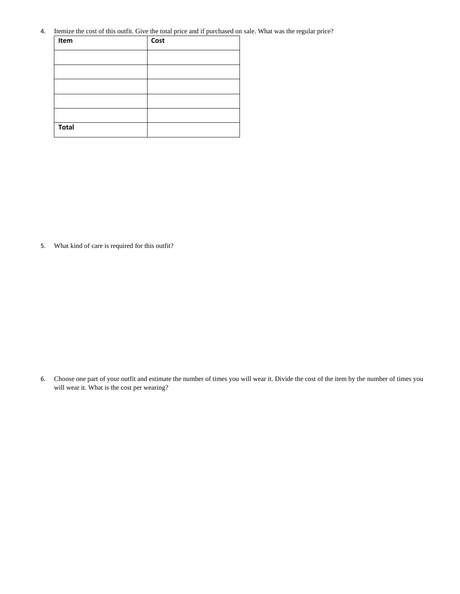4. Itemize the cost of this outfit. Give the total price and if purchased on sale. What was the regular price?

| Item         | Cost |
|--------------|------|
|              |      |
|              |      |
|              |      |
|              |      |
|              |      |
| <b>Total</b> |      |

5. What kind of care is required for this outfit?

6. Choose one part of your outfit and estimate the number of times you will wear it. Divide the cost of the item by the number of times you will wear it. What is the cost per wearing?